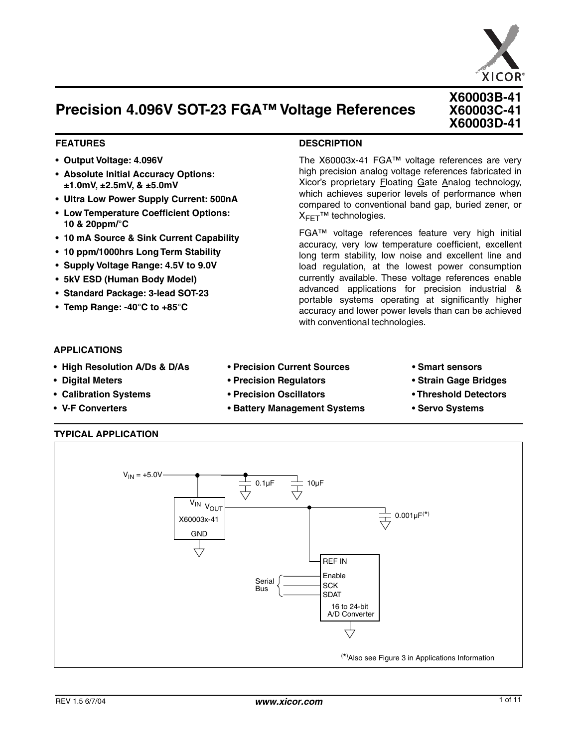

**X60003B-41 X60003C-41 X60003D-41**

# **Precision 4.096V SOT-23 FGA™ Voltage References**

#### **FEATURES**

- **• Output Voltage: 4.096V**
- **• Absolute Initial Accuracy Options: ±1.0mV, ±2.5mV, & ±5.0mV**
- **• Ultra Low Power Supply Current: 500nA**
- **Low Temperature Coefficient Options: 10 & 20ppm/°C**
- **• 10 mA Source & Sink Current Capability**
- **• 10 ppm/1000hrs Long Term Stability**
- **• Supply Voltage Range: 4.5V to 9.0V**
- **• 5kV ESD (Human Body Model)**
- **• Standard Package: 3-lead SOT-23**
- **Temp Range: -40°C to +85°C**

#### **DESCRIPTION**

The X60003x-41 FGA™ voltage references are very high precision analog voltage references fabricated in Xicor's proprietary Floating Gate Analog technology, which achieves superior levels of performance when compared to conventional band gap, buried zener, or X<sub>FFT</sub>™ technologies.

FGA™ voltage references feature very high initial accuracy, very low temperature coefficient, excellent long term stability, low noise and excellent line and load regulation, at the lowest power consumption currently available. These voltage references enable advanced applications for precision industrial & portable systems operating at significantly higher accuracy and lower power levels than can be achieved with conventional technologies.

#### **APPLICATIONS**

- **• High Resolution A/Ds & D/As Precision Current Sources Smart sensors**
- **• Digital Meters Precision Regulators Strain Gage Bridges**
- **• Calibration Systems Precision Oscillators Threshold Detectors**
- V-F Converters  **<b>Battery Management Systems** Servo Systems

#### **TYPICAL APPLICATION**

 $V_{IN} = +5.0V$  $0.1\mu F$ Serial Bus V<sub>IN VOUT</sub> **GND** X60003x-41 Enable **SCK** SDAT A/D Converter 16 to 24-bit REF IN 10µF  $0.001 \mu F^{(*)}$ ( \*) Also see Figure 3 in Applications Information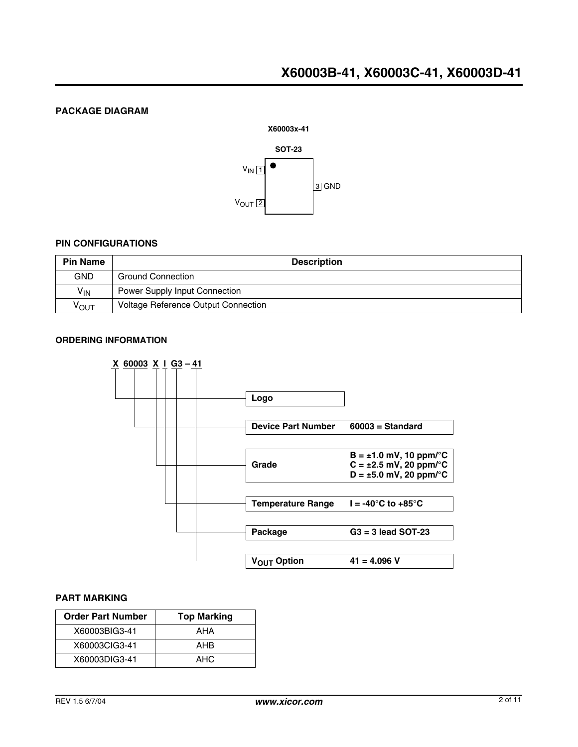# **PACKAGE DIAGRAM**



### **PIN CONFIGURATIONS**

| <b>Pin Name</b>  | <b>Description</b>                   |
|------------------|--------------------------------------|
| <b>GND</b>       | <b>Ground Connection</b>             |
| $V_{IN}$         | <b>Power Supply Input Connection</b> |
| <sup>ν</sup> ουτ | Voltage Reference Output Connection  |

### **ORDERING INFORMATION**



#### **PART MARKING**

| <b>Order Part Number</b> | <b>Top Marking</b> |  |  |
|--------------------------|--------------------|--|--|
| X60003BIG3-41            | AHA                |  |  |
| X60003CIG3-41            | AHB                |  |  |
| X60003DIG3-41            | AHC.               |  |  |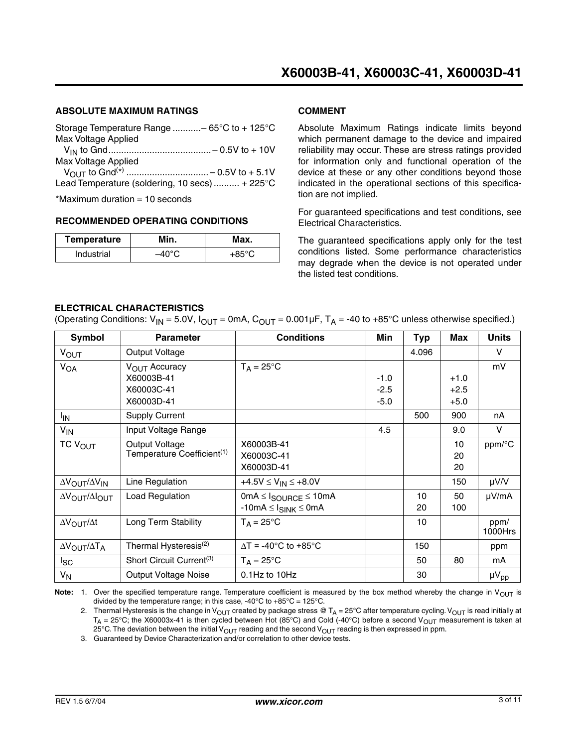# **ABSOLUTE MAXIMUM RATINGS**

| Storage Temperature Range  - 65°C to + 125°C   |
|------------------------------------------------|
| Max Voltage Applied                            |
|                                                |
| Max Voltage Applied                            |
|                                                |
| Lead Temperature (soldering, 10 secs)  + 225°C |
| $*M = 1.1$                                     |

 $Maximum$  duration  $= 10$  seconds

#### **RECOMMENDED OPERATING CONDITIONS**

| Temperature | Min. | Max.   |  |  |
|-------------|------|--------|--|--|
| Industrial  |      | $-950$ |  |  |

#### **COMMENT**

Absolute Maximum Ratings indicate limits beyond which permanent damage to the device and impaired reliability may occur. These are stress ratings provided for information only and functional operation of the device at these or any other conditions beyond those indicated in the operational sections of this specification are not implied.

For guaranteed specifications and test conditions, see Electrical Characteristics.

The guaranteed specifications apply only for the test conditions listed. Some performance characteristics may degrade when the device is not operated under the listed test conditions.

# **ELECTRICAL CHARACTERISTICS**

(Operating Conditions:  $V_{IN}$  = 5.0V,  $I_{OUT}$  = 0mA,  $C_{OUT}$  = 0.001µF,  $T_A$  = -40 to +85°C unless otherwise specified.)

| Symbol                                      | <b>Parameter</b>                       | <b>Conditions</b>                           | Min    | Typ   | <b>Max</b> | <b>Units</b> |
|---------------------------------------------|----------------------------------------|---------------------------------------------|--------|-------|------------|--------------|
| <b>VOUT</b>                                 | Output Voltage                         |                                             |        | 4.096 |            | V            |
| $V_{OA}$                                    | V <sub>OUT</sub> Accuracy              | $T_A = 25^{\circ}C$                         |        |       |            | mV           |
|                                             | X60003B-41                             |                                             | $-1.0$ |       | $+1.0$     |              |
|                                             | X60003C-41                             |                                             | $-2.5$ |       | $+2.5$     |              |
|                                             | X60003D-41                             |                                             | $-5.0$ |       | $+5.0$     |              |
| l <sub>IN</sub>                             | <b>Supply Current</b>                  |                                             |        | 500   | 900        | nA           |
| $V_{\text{IN}}$                             | Input Voltage Range                    |                                             | 4.5    |       | 9.0        | v            |
| TC V <sub>OUT</sub>                         | Output Voltage                         | X60003B-41                                  |        |       | 10         | ppm/°C       |
|                                             | Temperature Coefficient <sup>(1)</sup> | X60003C-41                                  |        |       | 20         |              |
|                                             |                                        | X60003D-41                                  |        |       | 20         |              |
| $\Delta V_{\rm OUT}/\Delta V_{\rm IN}$      | Line Regulation                        | +4.5V $\leq$ V <sub>IN</sub> $\leq$ +8.0V   |        |       | 150        | µV/V         |
| $\Delta V_{\rm OUT}/\Delta I_{\rm OUT}$     | Load Regulation                        | $0mA \leq I_{\text{SOURCE}} \leq 10mA$      |        | 10    | 50         | µV/mA        |
|                                             |                                        | $-10mA \leq I_{SINK} \leq 0mA$              |        | 20    | 100        |              |
| $\Delta V_{\text{OUT}}/\Delta t$            | Long Term Stability                    | $T_A = 25^{\circ}C$                         |        | 10    |            | ppm/         |
|                                             |                                        |                                             |        |       |            | 1000Hrs      |
| $\Delta V_{\text{OUT}}/\Delta T_{\text{A}}$ | Thermal Hysteresis <sup>(2)</sup>      | $\Delta T = -40^{\circ}C$ to $+85^{\circ}C$ |        | 150   |            | ppm          |
| lsc                                         | Short Circuit Current <sup>(3)</sup>   | $T_A = 25^{\circ}C$                         |        | 50    | 80         | mA           |
| $V_{N}$                                     | <b>Output Voltage Noise</b>            | $0.1$ Hz to $10$ Hz                         |        | 30    |            | $\mu V_{pp}$ |

**Note:** 1. Over the specified temperature range. Temperature coefficient is measured by the box method whereby the change in  $V_{\text{OUT}}$  is divided by the temperature range; in this case, -40 $^{\circ}$ C to +85 $^{\circ}$ C = 125 $^{\circ}$ C.

2. Thermal Hysteresis is the change in V<sub>OUT</sub> created by package stress @ T<sub>A</sub> = 25°C after temperature cycling. V<sub>OUT</sub> is read initially at  $T_A = 25^{\circ}$ C; the X60003x-41 is then cycled between Hot (85°C) and Cold (-40°C) before a second V<sub>OUT</sub> measurement is taken at 25°C. The deviation between the initial  $V_{\text{OUT}}$  reading and the second  $V_{\text{OUT}}$  reading is then expressed in ppm.

3. Guaranteed by Device Characterization and/or correlation to other device tests.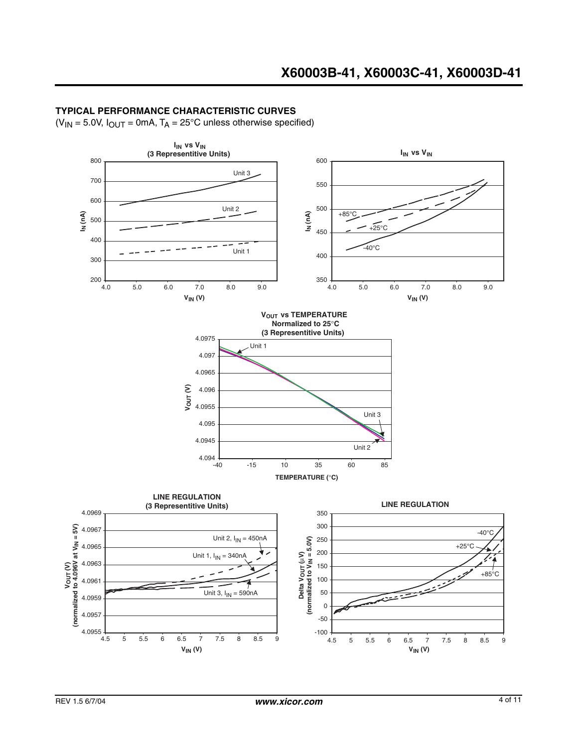### **TYPICAL PERFORMANCE CHARACTERISTIC CURVES**

 $(V_{IN} = 5.0V, I_{OUT} = 0mA, T_A = 25°C$  unless otherwise specified)

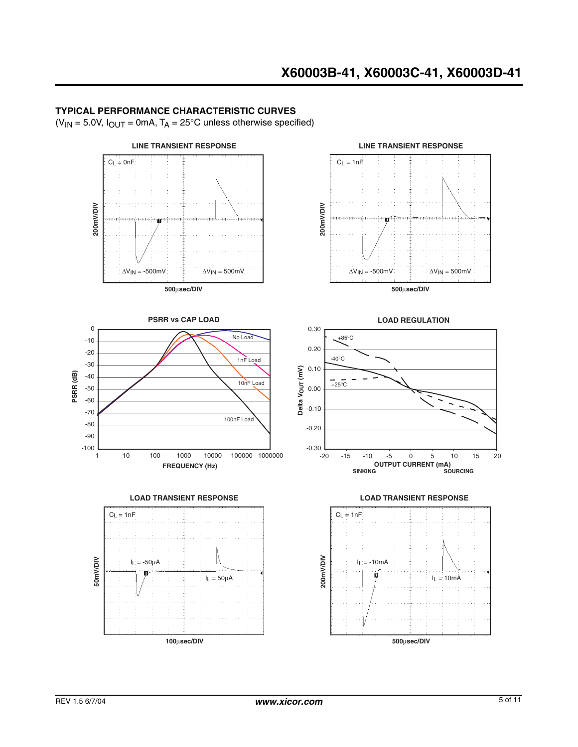### **TYPICAL PERFORMANCE CHARACTERISTIC CURVES**

 $(V_{IN} = 5.0V, I_{OUT} = 0mA, T_A = 25°C$  unless otherwise specified)

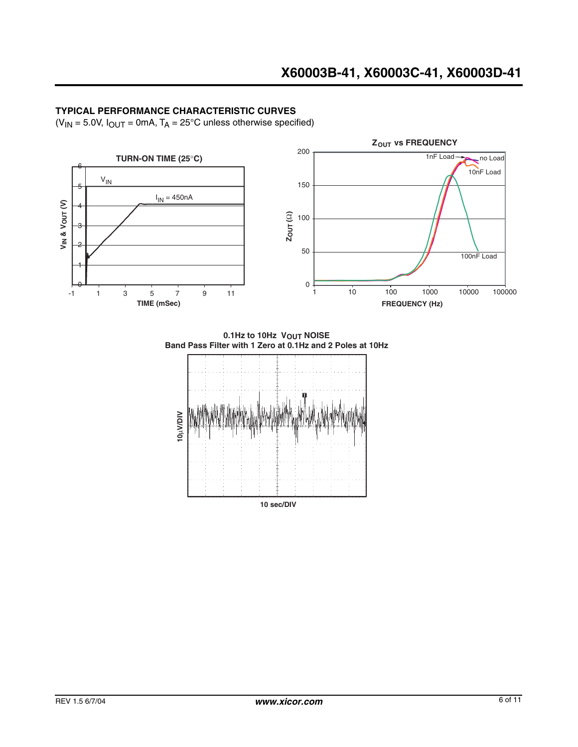# **TYPICAL PERFORMANCE CHARACTERISTIC CURVES**

 $(V_{IN} = 5.0V, I_{OUT} = 0mA, T_A = 25°C$  unless otherwise specified)



**0.1Hz to 10Hz VOUT NOISE Band Pass Filter with 1 Zero at 0.1Hz and 2 Poles at 10Hz**

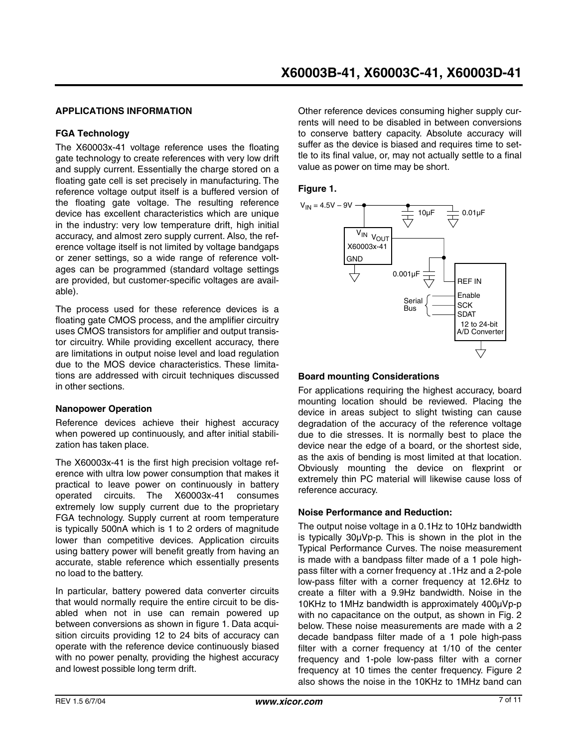### **APPLICATIONS INFORMATION**

#### **FGA Technology**

The X60003x-41 voltage reference uses the floating gate technology to create references with very low drift and supply current. Essentially the charge stored on a floating gate cell is set precisely in manufacturing. The reference voltage output itself is a buffered version of the floating gate voltage. The resulting reference device has excellent characteristics which are unique in the industry: very low temperature drift, high initial accuracy, and almost zero supply current. Also, the reference voltage itself is not limited by voltage bandgaps or zener settings, so a wide range of reference voltages can be programmed (standard voltage settings are provided, but customer-specific voltages are available).

The process used for these reference devices is a floating gate CMOS process, and the amplifier circuitry uses CMOS transistors for amplifier and output transistor circuitry. While providing excellent accuracy, there are limitations in output noise level and load regulation due to the MOS device characteristics. These limitations are addressed with circuit techniques discussed in other sections.

#### **Nanopower Operation**

Reference devices achieve their highest accuracy when powered up continuously, and after initial stabilization has taken place.

The X60003x-41 is the first high precision voltage reference with ultra low power consumption that makes it practical to leave power on continuously in battery operated circuits. The X60003x-41 consumes extremely low supply current due to the proprietary FGA technology. Supply current at room temperature is typically 500nA which is 1 to 2 orders of magnitude lower than competitive devices. Application circuits using battery power will benefit greatly from having an accurate, stable reference which essentially presents no load to the battery.

In particular, battery powered data converter circuits that would normally require the entire circuit to be disabled when not in use can remain powered up between conversions as shown in figure 1. Data acquisition circuits providing 12 to 24 bits of accuracy can operate with the reference device continuously biased with no power penalty, providing the highest accuracy and lowest possible long term drift.

Other reference devices consuming higher supply currents will need to be disabled in between conversions to conserve battery capacity. Absolute accuracy will suffer as the device is biased and requires time to settle to its final value, or, may not actually settle to a final value as power on time may be short.

**Figure 1.** 



#### **Board mounting Considerations**

For applications requiring the highest accuracy, board mounting location should be reviewed. Placing the device in areas subject to slight twisting can cause degradation of the accuracy of the reference voltage due to die stresses. It is normally best to place the device near the edge of a board, or the shortest side, as the axis of bending is most limited at that location. Obviously mounting the device on flexprint or extremely thin PC material will likewise cause loss of reference accuracy.

#### **Noise Performance and Reduction:**

The output noise voltage in a 0.1Hz to 10Hz bandwidth is typically 30µVp-p. This is shown in the plot in the Typical Performance Curves. The noise measurement is made with a bandpass filter made of a 1 pole highpass filter with a corner frequency at .1Hz and a 2-pole low-pass filter with a corner frequency at 12.6Hz to create a filter with a 9.9Hz bandwidth. Noise in the 10KHz to 1MHz bandwidth is approximately 400µVp-p with no capacitance on the output, as shown in Fig. 2 below. These noise measurements are made with a 2 decade bandpass filter made of a 1 pole high-pass filter with a corner frequency at 1/10 of the center frequency and 1-pole low-pass filter with a corner frequency at 10 times the center frequency. Figure 2 also shows the noise in the 10KHz to 1MHz band can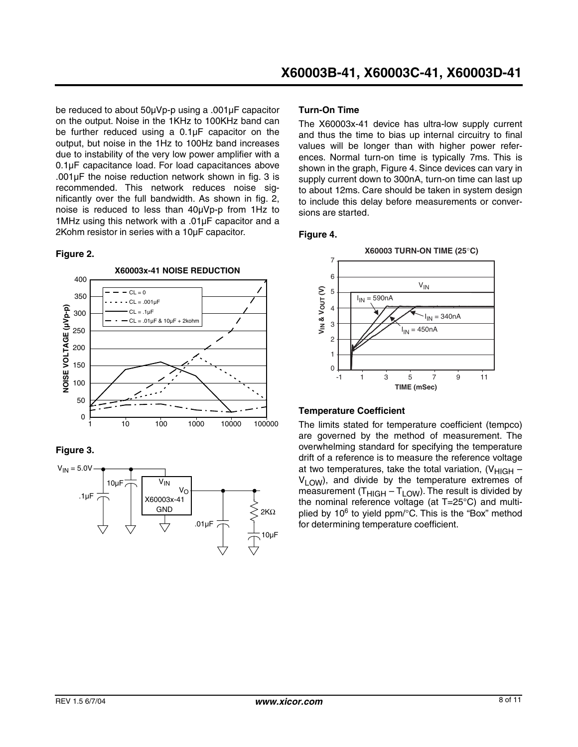be reduced to about 50µVp-p using a .001µF capacitor on the output. Noise in the 1KHz to 100KHz band can be further reduced using a 0.1µF capacitor on the output, but noise in the 1Hz to 100Hz band increases due to instability of the very low power amplifier with a 0.1µF capacitance load. For load capacitances above .001µF the noise reduction network shown in fig. 3 is recommended. This network reduces noise significantly over the full bandwidth. As shown in fig. 2, noise is reduced to less than 40µVp-p from 1Hz to 1MHz using this network with a .01µF capacitor and a 2Kohm resistor in series with a 10µF capacitor.

### **Figure 2.**



# **Figure 3.**



### **Turn-On Time**

The X60003x-41 device has ultra-low supply current and thus the time to bias up internal circuitry to final values will be longer than with higher power references. Normal turn-on time is typically 7ms. This is shown in the graph, Figure 4. Since devices can vary in supply current down to 300nA, turn-on time can last up to about 12ms. Care should be taken in system design to include this delay before measurements or conversions are started.

### **Figure 4.**



# **Temperature Coefficient**

The limits stated for temperature coefficient (tempco) are governed by the method of measurement. The overwhelming standard for specifying the temperature drift of a reference is to measure the reference voltage at two temperatures, take the total variation,  $(V_{HIGH}$  –  $V_1 \cap W$ ), and divide by the temperature extremes of measurement  $(T_{HIGH} - T_{LOW})$ . The result is divided by the nominal reference voltage (at T=25°C) and multiplied by 10<sup>6</sup> to yield ppm/°C. This is the "Box" method for determining temperature coefficient.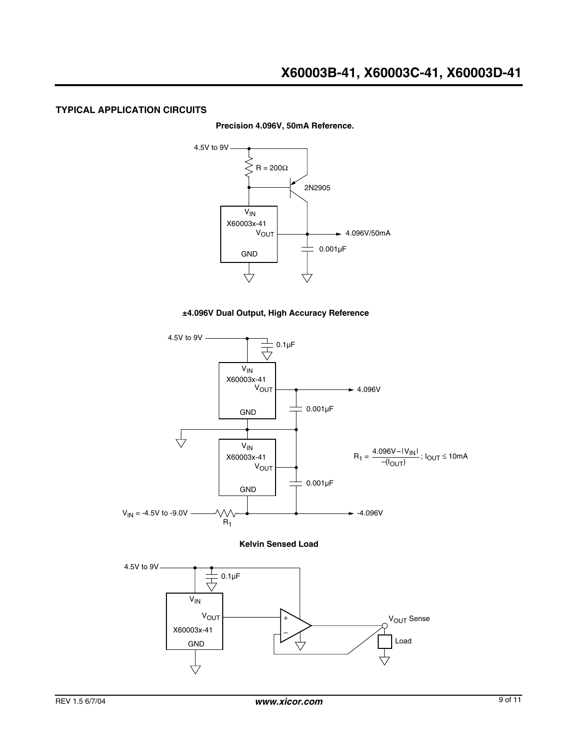### **TYPICAL APPLICATION CIRCUITS**

#### **Precision 4.096V, 50mA Reference.**



#### **±4.096V Dual Output, High Accuracy Reference**





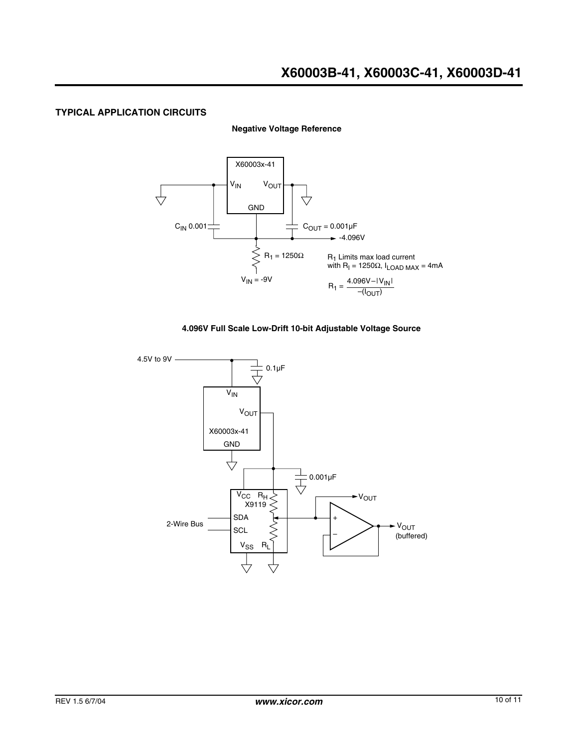#### **TYPICAL APPLICATION CIRCUITS**

**Negative Voltage Reference**